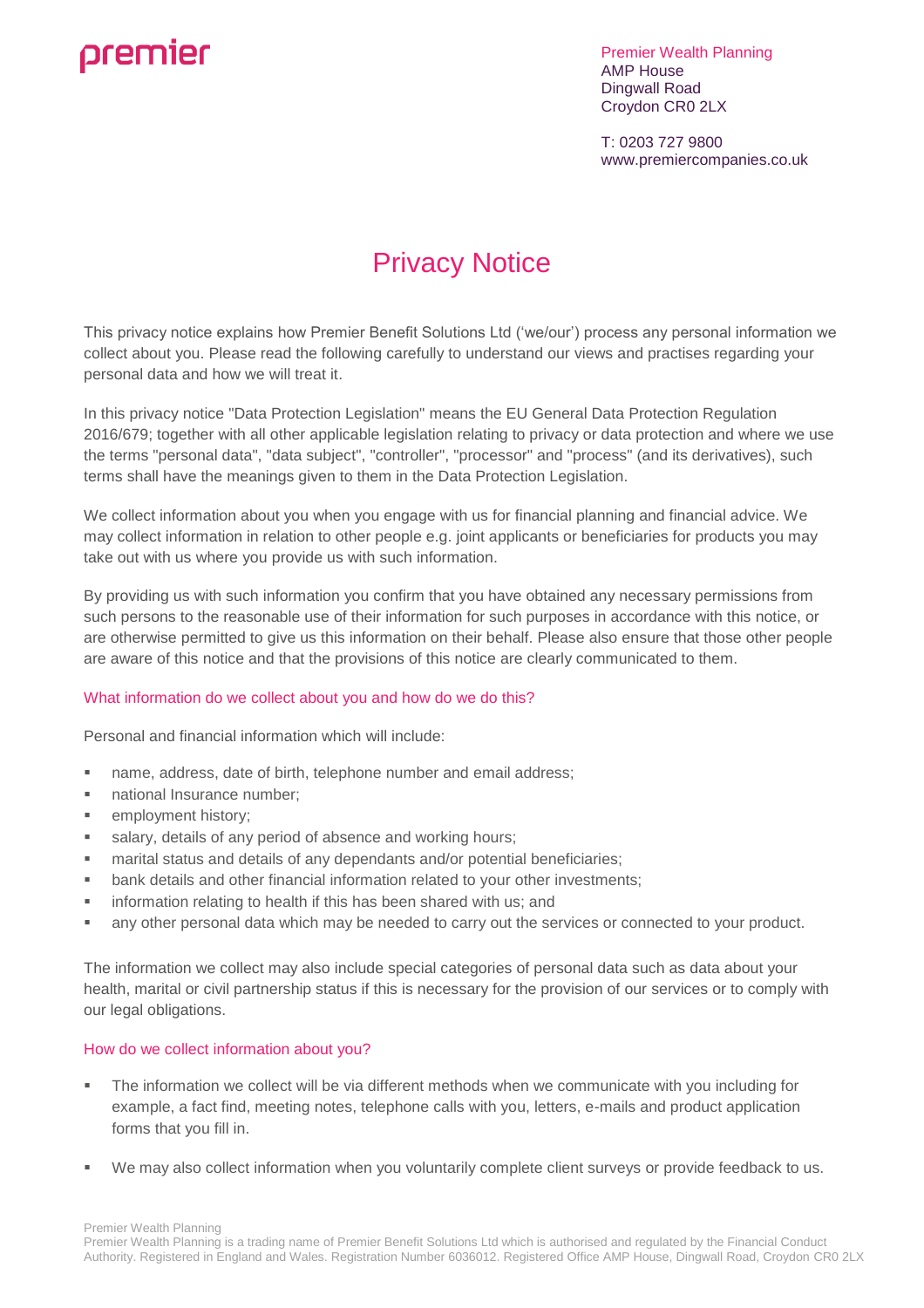# premier

Premier Wealth Planning AMP House Dingwall Road Croydon CR0 2LX

T: 0203 727 9800 www.premiercompanies.co.uk

# Privacy Notice

This privacy notice explains how Premier Benefit Solutions Ltd ('we/our') process any personal information we collect about you. Please read the following carefully to understand our views and practises regarding your personal data and how we will treat it.

In this privacy notice "Data Protection Legislation" means the EU General Data Protection Regulation 2016/679; together with all other applicable legislation relating to privacy or data protection and where we use the terms "personal data", "data subject", "controller", "processor" and "process" (and its derivatives), such terms shall have the meanings given to them in the Data Protection Legislation.

We collect information about you when you engage with us for financial planning and financial advice. We may collect information in relation to other people e.g. joint applicants or beneficiaries for products you may take out with us where you provide us with such information.

By providing us with such information you confirm that you have obtained any necessary permissions from such persons to the reasonable use of their information for such purposes in accordance with this notice, or are otherwise permitted to give us this information on their behalf. Please also ensure that those other people are aware of this notice and that the provisions of this notice are clearly communicated to them.

# What information do we collect about you and how do we do this?

Personal and financial information which will include:

- name, address, date of birth, telephone number and email address;
- national Insurance number;
- employment history;
- salary, details of any period of absence and working hours;
- marital status and details of any dependants and/or potential beneficiaries;
- bank details and other financial information related to your other investments;
- information relating to health if this has been shared with us; and
- any other personal data which may be needed to carry out the services or connected to your product.

The information we collect may also include special categories of personal data such as data about your health, marital or civil partnership status if this is necessary for the provision of our services or to comply with our legal obligations.

# How do we collect information about you?

- The information we collect will be via different methods when we communicate with you including for example, a fact find, meeting notes, telephone calls with you, letters, e-mails and product application forms that you fill in.
- We may also collect information when you voluntarily complete client surveys or provide feedback to us.

Premier Wealth Planning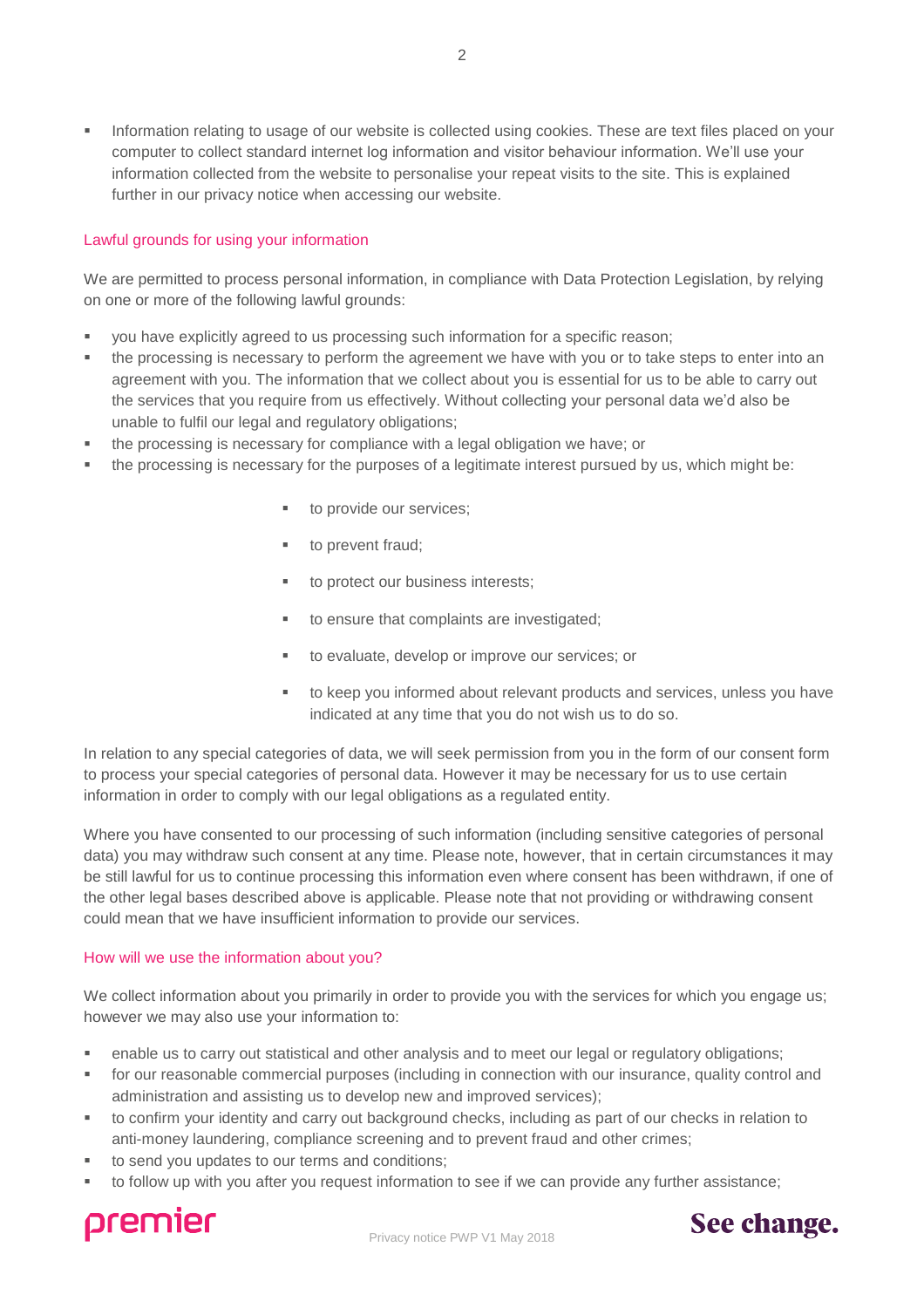Information relating to usage of our website is collected using cookies. These are text files placed on your computer to collect standard internet log information and visitor behaviour information. We'll use your information collected from the website to personalise your repeat visits to the site. This is explained further in our privacy notice when accessing our website.

# Lawful grounds for using your information

We are permitted to process personal information, in compliance with Data Protection Legislation, by relying on one or more of the following lawful grounds:

- you have explicitly agreed to us processing such information for a specific reason;
- the processing is necessary to perform the agreement we have with you or to take steps to enter into an agreement with you. The information that we collect about you is essential for us to be able to carry out the services that you require from us effectively. Without collecting your personal data we'd also be unable to fulfil our legal and regulatory obligations;
- the processing is necessary for compliance with a legal obligation we have; or
- the processing is necessary for the purposes of a legitimate interest pursued by us, which might be:
	- to provide our services;
	- to prevent fraud;
	- to protect our business interests;
	- to ensure that complaints are investigated;
	- to evaluate, develop or improve our services; or
	- to keep you informed about relevant products and services, unless you have indicated at any time that you do not wish us to do so.

In relation to any special categories of data, we will seek permission from you in the form of our consent form to process your special categories of personal data. However it may be necessary for us to use certain information in order to comply with our legal obligations as a regulated entity.

Where you have consented to our processing of such information (including sensitive categories of personal data) you may withdraw such consent at any time. Please note, however, that in certain circumstances it may be still lawful for us to continue processing this information even where consent has been withdrawn, if one of the other legal bases described above is applicable. Please note that not providing or withdrawing consent could mean that we have insufficient information to provide our services.

# How will we use the information about you?

We collect information about you primarily in order to provide you with the services for which you engage us; however we may also use your information to:

- enable us to carry out statistical and other analysis and to meet our legal or regulatory obligations;
- **for our reasonable commercial purposes (including in connection with our insurance, quality control and** administration and assisting us to develop new and improved services);
- to confirm your identity and carry out background checks, including as part of our checks in relation to anti-money laundering, compliance screening and to prevent fraud and other crimes;
- to send you updates to our terms and conditions;
- to follow up with you after you request information to see if we can provide any further assistance;



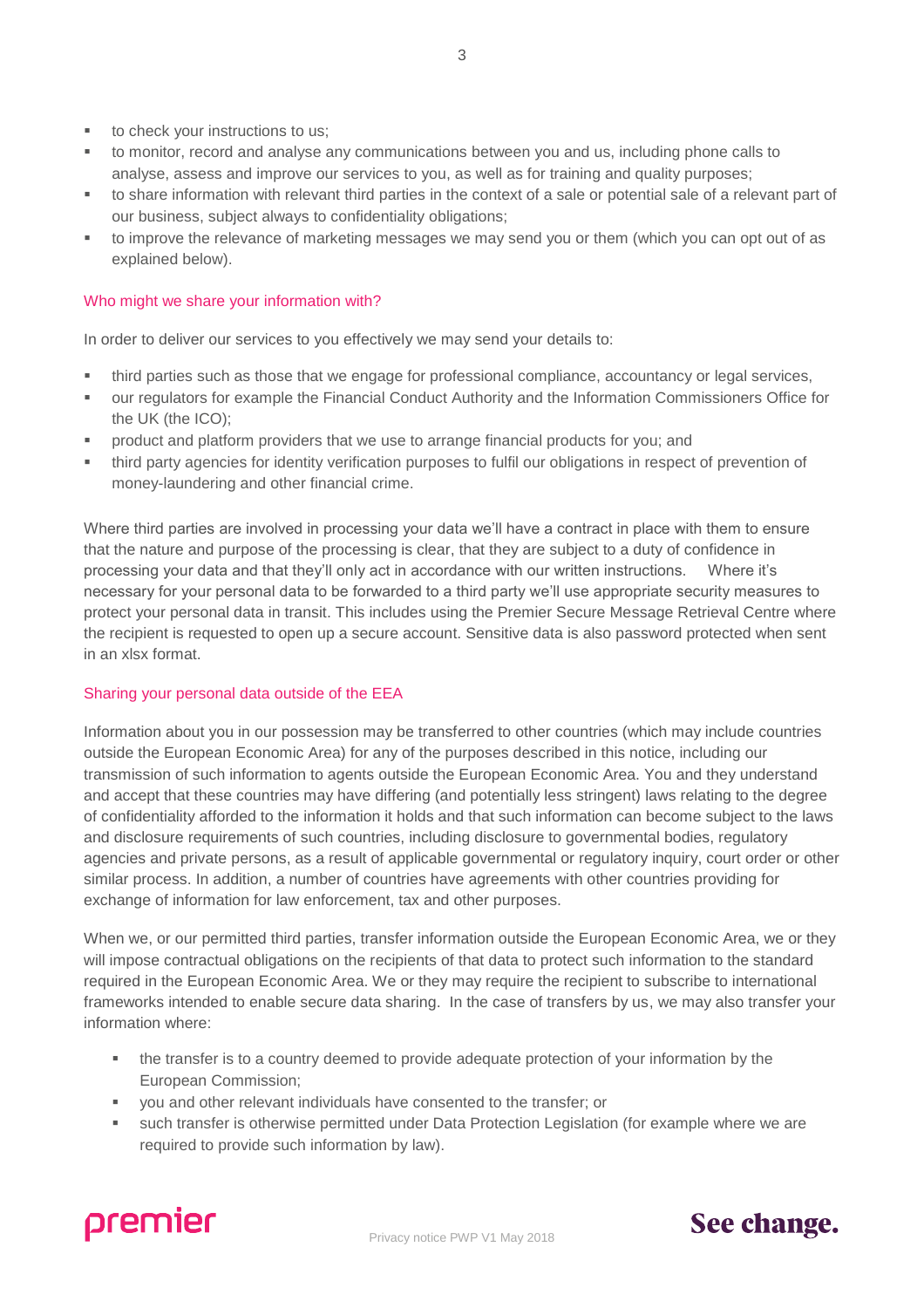- to check your instructions to us;
- to monitor, record and analyse any communications between you and us, including phone calls to analyse, assess and improve our services to you, as well as for training and quality purposes;
- to share information with relevant third parties in the context of a sale or potential sale of a relevant part of our business, subject always to confidentiality obligations;
- to improve the relevance of marketing messages we may send you or them (which you can opt out of as explained below).

# Who might we share your information with?

In order to deliver our services to you effectively we may send your details to:

- third parties such as those that we engage for professional compliance, accountancy or legal services,
- our regulators for example the Financial Conduct Authority and the Information Commissioners Office for the UK (the ICO);
- product and platform providers that we use to arrange financial products for you; and
- third party agencies for identity verification purposes to fulfil our obligations in respect of prevention of money-laundering and other financial crime.

Where third parties are involved in processing your data we'll have a contract in place with them to ensure that the nature and purpose of the processing is clear, that they are subject to a duty of confidence in processing your data and that they'll only act in accordance with our written instructions. Where it's necessary for your personal data to be forwarded to a third party we'll use appropriate security measures to protect your personal data in transit. This includes using the Premier Secure Message Retrieval Centre where the recipient is requested to open up a secure account. Sensitive data is also password protected when sent in an xlsx format.

# Sharing your personal data outside of the EEA

Information about you in our possession may be transferred to other countries (which may include countries outside the European Economic Area) for any of the purposes described in this notice, including our transmission of such information to agents outside the European Economic Area. You and they understand and accept that these countries may have differing (and potentially less stringent) laws relating to the degree of confidentiality afforded to the information it holds and that such information can become subject to the laws and disclosure requirements of such countries, including disclosure to governmental bodies, regulatory agencies and private persons, as a result of applicable governmental or regulatory inquiry, court order or other similar process. In addition, a number of countries have agreements with other countries providing for exchange of information for law enforcement, tax and other purposes.

When we, or our permitted third parties, transfer information outside the European Economic Area, we or they will impose contractual obligations on the recipients of that data to protect such information to the standard required in the European Economic Area. We or they may require the recipient to subscribe to international frameworks intended to enable secure data sharing. In the case of transfers by us, we may also transfer your information where:

- the transfer is to a country deemed to provide adequate protection of your information by the European Commission;
- you and other relevant individuals have consented to the transfer; or
- such transfer is otherwise permitted under Data Protection Legislation (for example where we are required to provide such information by law).

Privacy notice PWP V1 May 2018



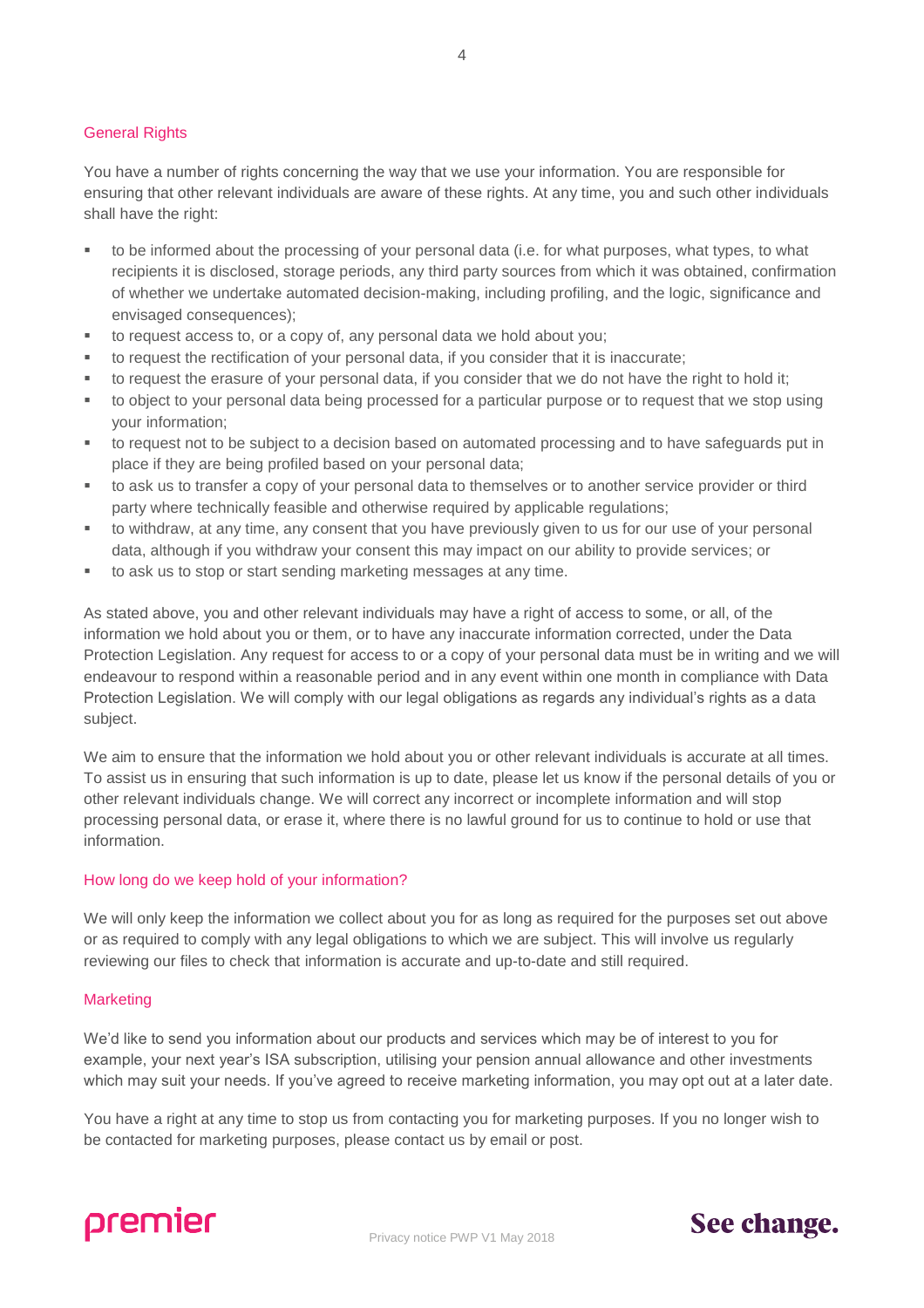# General Rights

You have a number of rights concerning the way that we use your information. You are responsible for ensuring that other relevant individuals are aware of these rights. At any time, you and such other individuals shall have the right:

- to be informed about the processing of your personal data (i.e. for what purposes, what types, to what recipients it is disclosed, storage periods, any third party sources from which it was obtained, confirmation of whether we undertake automated decision-making, including profiling, and the logic, significance and envisaged consequences);
- to request access to, or a copy of, any personal data we hold about you;
- to request the rectification of your personal data, if you consider that it is inaccurate;
- to request the erasure of your personal data, if you consider that we do not have the right to hold it;
- to object to your personal data being processed for a particular purpose or to request that we stop using your information;
- to request not to be subject to a decision based on automated processing and to have safeguards put in place if they are being profiled based on your personal data;
- to ask us to transfer a copy of your personal data to themselves or to another service provider or third party where technically feasible and otherwise required by applicable regulations;
- to withdraw, at any time, any consent that you have previously given to us for our use of your personal data, although if you withdraw your consent this may impact on our ability to provide services; or
- to ask us to stop or start sending marketing messages at any time.

As stated above, you and other relevant individuals may have a right of access to some, or all, of the information we hold about you or them, or to have any inaccurate information corrected, under the Data Protection Legislation. Any request for access to or a copy of your personal data must be in writing and we will endeavour to respond within a reasonable period and in any event within one month in compliance with Data Protection Legislation. We will comply with our legal obligations as regards any individual's rights as a data subject.

We aim to ensure that the information we hold about you or other relevant individuals is accurate at all times. To assist us in ensuring that such information is up to date, please let us know if the personal details of you or other relevant individuals change. We will correct any incorrect or incomplete information and will stop processing personal data, or erase it, where there is no lawful ground for us to continue to hold or use that information.

# How long do we keep hold of your information?

We will only keep the information we collect about you for as long as required for the purposes set out above or as required to comply with any legal obligations to which we are subject. This will involve us regularly reviewing our files to check that information is accurate and up-to-date and still required.

# **Marketing**

We'd like to send you information about our products and services which may be of interest to you for example, your next year's ISA subscription, utilising your pension annual allowance and other investments which may suit your needs. If you've agreed to receive marketing information, you may opt out at a later date.

You have a right at any time to stop us from contacting you for marketing purposes. If you no longer wish to be contacted for marketing purposes, please contact us by email or post.